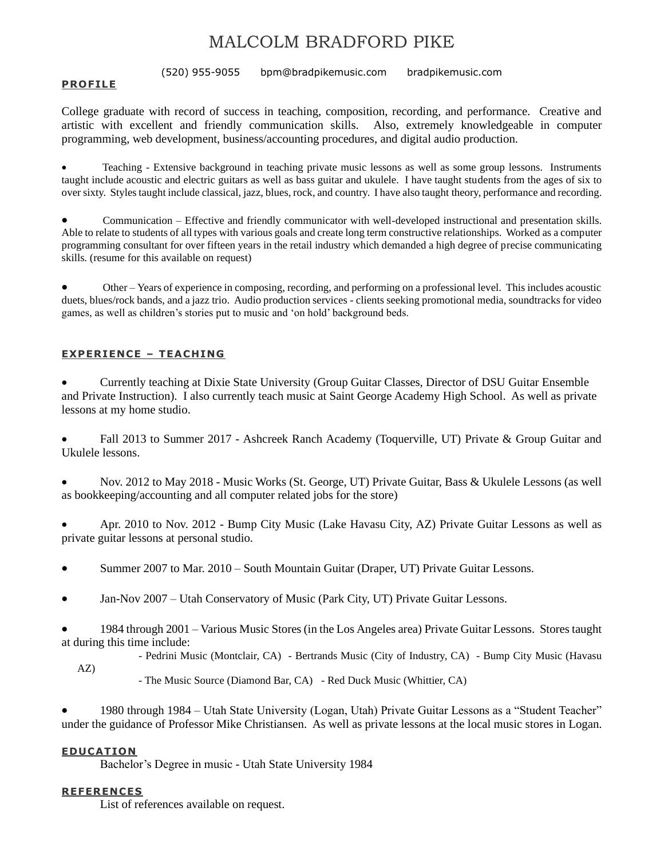# MALCOLM BRADFORD PIKE

(520) 955-9055 bpm@bradpikemusic.com bradpikemusic.com

#### **PROFILE**

College graduate with record of success in teaching, composition, recording, and performance. Creative and artistic with excellent and friendly communication skills. Also, extremely knowledgeable in computer programming, web development, business/accounting procedures, and digital audio production.

• Teaching - Extensive background in teaching private music lessons as well as some group lessons. Instruments taught include acoustic and electric guitars as well as bass guitar and ukulele. I have taught students from the ages of six to over sixty. Styles taught include classical, jazz, blues, rock, and country. I have also taught theory, performance and recording.

• Communication – Effective and friendly communicator with well-developed instructional and presentation skills. Able to relate to students of all types with various goals and create long term constructive relationships. Worked as a computer programming consultant for over fifteen years in the retail industry which demanded a high degree of precise communicating skills. (resume for this available on request)

• Other – Years of experience in composing, recording, and performing on a professional level. This includes acoustic duets, blues/rock bands, and a jazz trio. Audio production services - clients seeking promotional media, soundtracks for video games, as well as children's stories put to music and 'on hold' background beds.

#### **EXPER IENCE – TEACHING**

• Currently teaching at Dixie State University (Group Guitar Classes, Director of DSU Guitar Ensemble and Private Instruction). I also currently teach music at Saint George Academy High School. As well as private lessons at my home studio.

• Fall 2013 to Summer 2017 - Ashcreek Ranch Academy (Toquerville, UT) Private & Group Guitar and Ukulele lessons.

• Nov. 2012 to May 2018 - Music Works (St. George, UT) Private Guitar, Bass & Ukulele Lessons (as well as bookkeeping/accounting and all computer related jobs for the store)

• Apr. 2010 to Nov. 2012 - Bump City Music (Lake Havasu City, AZ) Private Guitar Lessons as well as private guitar lessons at personal studio.

• Summer 2007 to Mar. 2010 – South Mountain Guitar (Draper, UT) Private Guitar Lessons.

• Jan-Nov 2007 – Utah Conservatory of Music (Park City, UT) Private Guitar Lessons.

• 1984 through 2001 – Various Music Stores (in the Los Angeles area) Private Guitar Lessons. Stores taught at during this time include:

- Pedrini Music (Montclair, CA) - Bertrands Music (City of Industry, CA) - Bump City Music (Havasu

AZ)

- The Music Source (Diamond Bar, CA) - Red Duck Music (Whittier, CA)

• 1980 through 1984 – Utah State University (Logan, Utah) Private Guitar Lessons as a "Student Teacher" under the guidance of Professor Mike Christiansen. As well as private lessons at the local music stores in Logan.

#### **EDUCATION**

Bachelor's Degree in music - Utah State University 1984

#### **REFERENCES**

List of references available on request.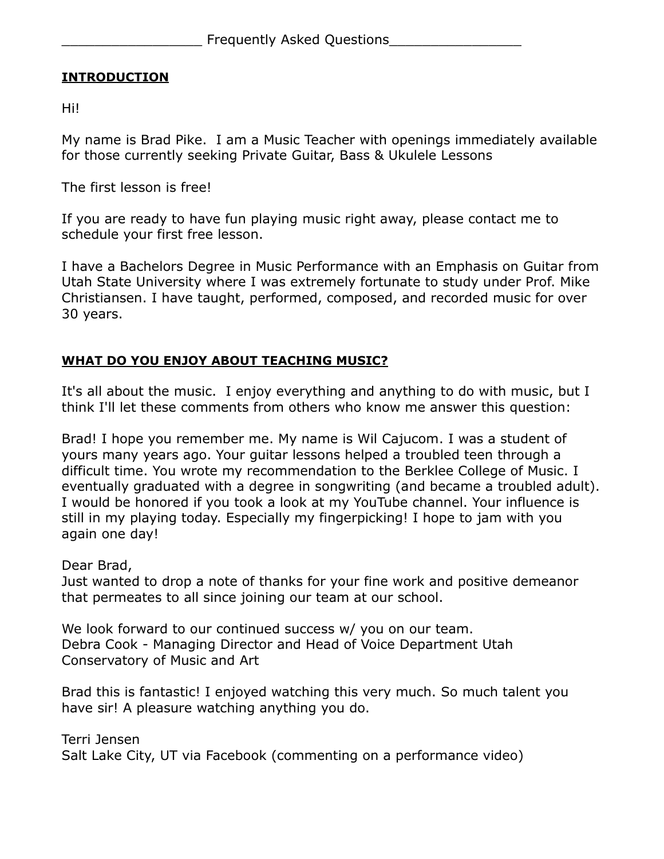### **INTRODUCTION**

Hi!

My name is Brad Pike. I am a Music Teacher with openings immediately available for those currently seeking Private Guitar, Bass & Ukulele Lessons

The first lesson is free!

If you are ready to have fun playing music right away, please contact me to schedule your first free lesson.

I have a Bachelors Degree in Music Performance with an Emphasis on Guitar from Utah State University where I was extremely fortunate to study under Prof. Mike Christiansen. I have taught, performed, composed, and recorded music for over 30 years.

### **WHAT DO YOU ENJOY ABOUT TEACHING MUSIC?**

It's all about the music. I enjoy everything and anything to do with music, but I think I'll let these comments from others who know me answer this question:

Brad! I hope you remember me. My name is Wil Cajucom. I was a student of yours many years ago. Your guitar lessons helped a troubled teen through a difficult time. You wrote my recommendation to the Berklee College of Music. I eventually graduated with a degree in songwriting (and became a troubled adult). I would be honored if you took a look at my YouTube channel. Your influence is still in my playing today. Especially my fingerpicking! I hope to jam with you again one day!

Dear Brad,

Just wanted to drop a note of thanks for your fine work and positive demeanor that permeates to all since joining our team at our school.

We look forward to our continued success w/ you on our team. Debra Cook - Managing Director and Head of Voice Department Utah Conservatory of Music and Art

Brad this is fantastic! I enjoyed watching this very much. So much talent you have sir! A pleasure watching anything you do.

Terri Jensen Salt Lake City, UT via Facebook (commenting on a performance video)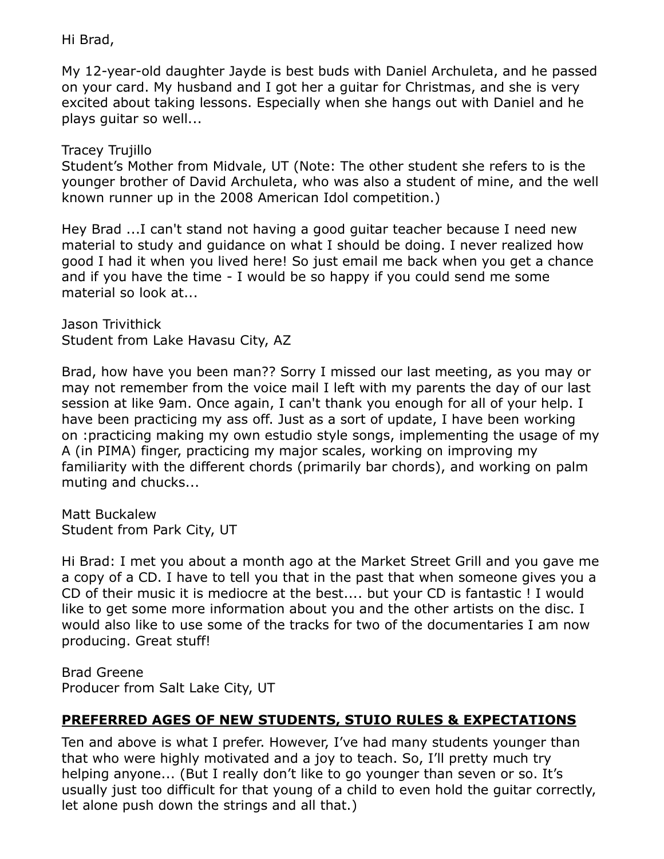### Hi Brad,

My 12-year-old daughter Jayde is best buds with Daniel Archuleta, and he passed on your card. My husband and I got her a guitar for Christmas, and she is very excited about taking lessons. Especially when she hangs out with Daniel and he plays guitar so well...

Tracey Trujillo

Student's Mother from Midvale, UT (Note: The other student she refers to is the younger brother of David Archuleta, who was also a student of mine, and the well known runner up in the 2008 American Idol competition.)

Hey Brad ...I can't stand not having a good guitar teacher because I need new material to study and guidance on what I should be doing. I never realized how good I had it when you lived here! So just email me back when you get a chance and if you have the time - I would be so happy if you could send me some material so look at...

Jason Trivithick Student from Lake Havasu City, AZ

Brad, how have you been man?? Sorry I missed our last meeting, as you may or may not remember from the voice mail I left with my parents the day of our last session at like 9am. Once again, I can't thank you enough for all of your help. I have been practicing my ass off. Just as a sort of update, I have been working on :practicing making my own estudio style songs, implementing the usage of my A (in PIMA) finger, practicing my major scales, working on improving my familiarity with the different chords (primarily bar chords), and working on palm muting and chucks...

Matt Buckalew Student from Park City, UT

Hi Brad: I met you about a month ago at the Market Street Grill and you gave me a copy of a CD. I have to tell you that in the past that when someone gives you a CD of their music it is mediocre at the best.... but your CD is fantastic ! I would like to get some more information about you and the other artists on the disc. I would also like to use some of the tracks for two of the documentaries I am now producing. Great stuff!

Brad Greene Producer from Salt Lake City, UT

## **PREFERRED AGES OF NEW STUDENTS, STUIO RULES & EXPECTATIONS**

Ten and above is what I prefer. However, I've had many students younger than that who were highly motivated and a joy to teach. So, I'll pretty much try helping anyone... (But I really don't like to go younger than seven or so. It's usually just too difficult for that young of a child to even hold the guitar correctly, let alone push down the strings and all that.)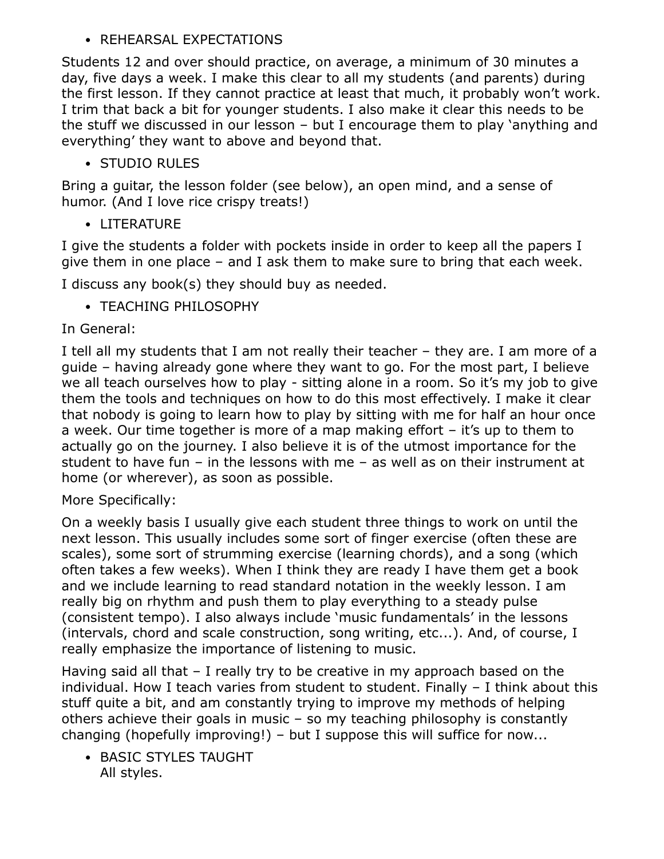## • REHEARSAL EXPECTATIONS

Students 12 and over should practice, on average, a minimum of 30 minutes a day, five days a week. I make this clear to all my students (and parents) during the first lesson. If they cannot practice at least that much, it probably won't work. I trim that back a bit for younger students. I also make it clear this needs to be the stuff we discussed in our lesson – but I encourage them to play 'anything and everything' they want to above and beyond that.

## • STUDIO RULES

Bring a guitar, the lesson folder (see below), an open mind, and a sense of humor. (And I love rice crispy treats!)

• LITERATURE

I give the students a folder with pockets inside in order to keep all the papers I give them in one place – and I ask them to make sure to bring that each week.

I discuss any book(s) they should buy as needed.

• TEACHING PHILOSOPHY

In General:

I tell all my students that I am not really their teacher – they are. I am more of a guide – having already gone where they want to go. For the most part, I believe we all teach ourselves how to play - sitting alone in a room. So it's my job to give them the tools and techniques on how to do this most effectively. I make it clear that nobody is going to learn how to play by sitting with me for half an hour once a week. Our time together is more of a map making effort – it's up to them to actually go on the journey. I also believe it is of the utmost importance for the student to have fun – in the lessons with me – as well as on their instrument at home (or wherever), as soon as possible.

## More Specifically:

On a weekly basis I usually give each student three things to work on until the next lesson. This usually includes some sort of finger exercise (often these are scales), some sort of strumming exercise (learning chords), and a song (which often takes a few weeks). When I think they are ready I have them get a book and we include learning to read standard notation in the weekly lesson. I am really big on rhythm and push them to play everything to a steady pulse (consistent tempo). I also always include 'music fundamentals' in the lessons (intervals, chord and scale construction, song writing, etc...). And, of course, I really emphasize the importance of listening to music.

Having said all that – I really try to be creative in my approach based on the individual. How I teach varies from student to student. Finally – I think about this stuff quite a bit, and am constantly trying to improve my methods of helping others achieve their goals in music – so my teaching philosophy is constantly changing (hopefully improving!) – but I suppose this will suffice for now...

• BASIC STYLES TAUGHT All styles.